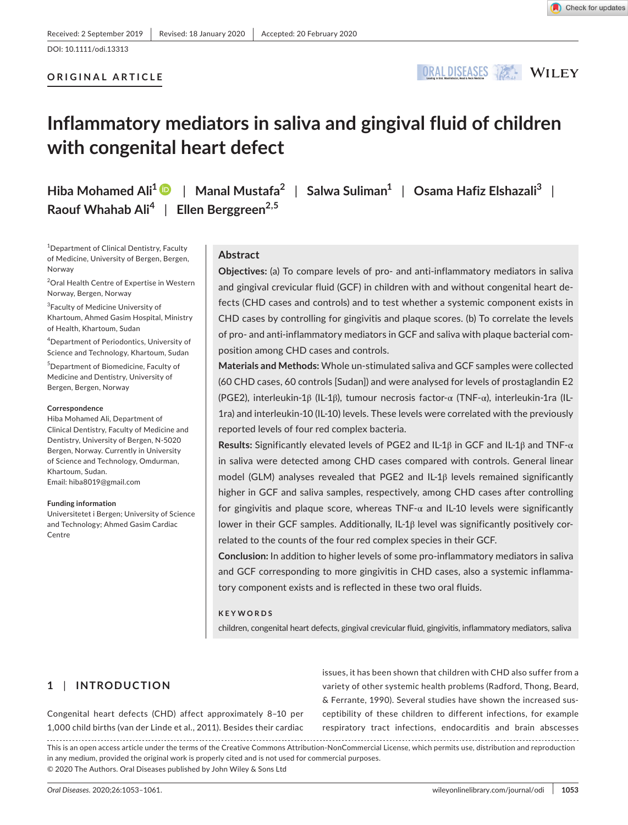## DOI: 10.1111/odi.13313

## **ORIGINAL ARTICLE**



# **Inflammatory mediators in saliva and gingival fluid of children with congenital heart defect**

**Hiba Mohamed Ali1** | **Manal Mustafa<sup>2</sup>** | **Salwa Suliman1** | **Osama Hafiz Elshazali3** | **Raouf Whahab Ali<sup>4</sup>** | **Ellen Berggreen2,5**

<sup>1</sup>Department of Clinical Dentistry, Faculty of Medicine, University of Bergen, Bergen, Norway

<sup>2</sup>Oral Health Centre of Expertise in Western Norway, Bergen, Norway

3 Faculty of Medicine University of Khartoum, Ahmed Gasim Hospital, Ministry of Health, Khartoum, Sudan

4 Department of Periodontics, University of Science and Technology, Khartoum, Sudan

5 Department of Biomedicine, Faculty of Medicine and Dentistry, University of Bergen, Bergen, Norway

#### **Correspondence**

Hiba Mohamed Ali, Department of Clinical Dentistry, Faculty of Medicine and Dentistry, University of Bergen, N-5020 Bergen, Norway. Currently in University of Science and Technology, Omdurman, Khartoum, Sudan. Email: [hiba8019@gmail.com](mailto:hiba8019@gmail.com)

#### **Funding information**

Universitetet i Bergen; University of Science and Technology; Ahmed Gasim Cardiac Centre

## **Abstract**

**Objectives:** (a) To compare levels of pro- and anti-inflammatory mediators in saliva and gingival crevicular fluid (GCF) in children with and without congenital heart defects (CHD cases and controls) and to test whether a systemic component exists in CHD cases by controlling for gingivitis and plaque scores. (b) To correlate the levels of pro- and anti-inflammatory mediators in GCF and saliva with plaque bacterial composition among CHD cases and controls.

**Materials and Methods:** Whole un-stimulated saliva and GCF samples were collected (60 CHD cases, 60 controls [Sudan]) and were analysed for levels of prostaglandin E2 (PGE2), interleukin-1β (IL-1β), tumour necrosis factor-α (TNF-α), interleukin-1ra (IL-1ra) and interleukin-10 (IL-10) levels. These levels were correlated with the previously reported levels of four red complex bacteria.

**Results:** Significantly elevated levels of PGE2 and IL-1β in GCF and IL-1β and TNF-α in saliva were detected among CHD cases compared with controls. General linear model (GLM) analyses revealed that PGE2 and IL-1β levels remained significantly higher in GCF and saliva samples, respectively, among CHD cases after controlling for gingivitis and plaque score, whereas TNF- $\alpha$  and IL-10 levels were significantly lower in their GCF samples. Additionally, IL-1β level was significantly positively correlated to the counts of the four red complex species in their GCF.

**Conclusion:** In addition to higher levels of some pro-inflammatory mediators in saliva and GCF corresponding to more gingivitis in CHD cases, also a systemic inflammatory component exists and is reflected in these two oral fluids.

#### **KEYWORDS**

children, congenital heart defects, gingival crevicular fluid, gingivitis, inflammatory mediators, saliva

## **1** | **INTRODUCTION**

Congenital heart defects (CHD) affect approximately 8–10 per 1,000 child births (van der Linde et al., 2011). Besides their cardiac issues, it has been shown that children with CHD also suffer from a variety of other systemic health problems (Radford, Thong, Beard, & Ferrante, 1990). Several studies have shown the increased susceptibility of these children to different infections, for example respiratory tract infections, endocarditis and brain abscesses

This is an open access article under the terms of the [Creative Commons Attribution-NonCommercial](http://creativecommons.org/licenses/by-nc/4.0/) License, which permits use, distribution and reproduction in any medium, provided the original work is properly cited and is not used for commercial purposes. © 2020 The Authors. Oral Diseases published by John Wiley & Sons Ltd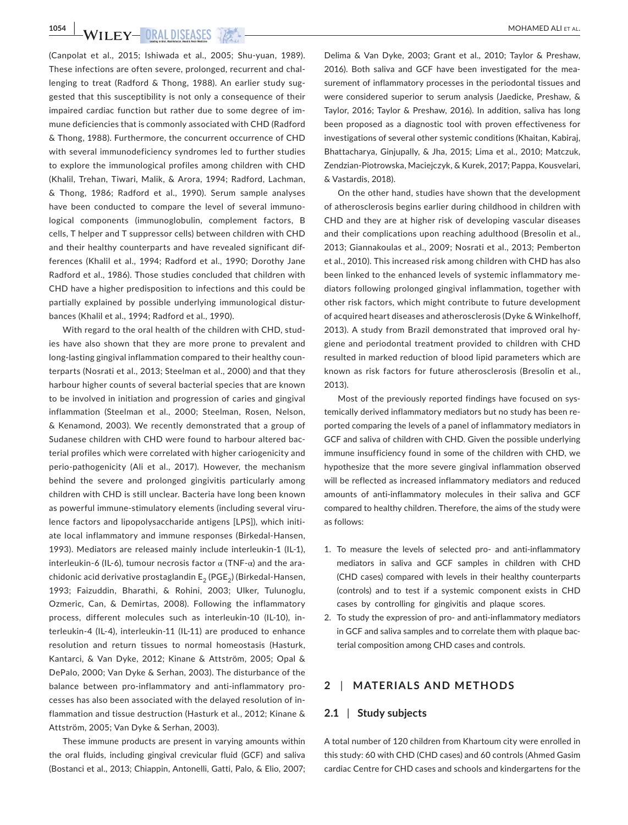(Canpolat et al., 2015; Ishiwada et al., 2005; Shu-yuan, 1989). These infections are often severe, prolonged, recurrent and challenging to treat (Radford & Thong, 1988). An earlier study suggested that this susceptibility is not only a consequence of their impaired cardiac function but rather due to some degree of immune deficiencies that is commonly associated with CHD (Radford & Thong, 1988). Furthermore, the concurrent occurrence of CHD with several immunodeficiency syndromes led to further studies to explore the immunological profiles among children with CHD (Khalil, Trehan, Tiwari, Malik, & Arora, 1994; Radford, Lachman, & Thong, 1986; Radford et al., 1990). Serum sample analyses have been conducted to compare the level of several immunological components (immunoglobulin, complement factors, B cells, T helper and T suppressor cells) between children with CHD and their healthy counterparts and have revealed significant differences (Khalil et al., 1994; Radford et al., 1990; Dorothy Jane Radford et al., 1986). Those studies concluded that children with CHD have a higher predisposition to infections and this could be partially explained by possible underlying immunological disturbances (Khalil et al., 1994; Radford et al., 1990).

With regard to the oral health of the children with CHD, studies have also shown that they are more prone to prevalent and long-lasting gingival inflammation compared to their healthy counterparts (Nosrati et al., 2013; Steelman et al., 2000) and that they harbour higher counts of several bacterial species that are known to be involved in initiation and progression of caries and gingival inflammation (Steelman et al., 2000; Steelman, Rosen, Nelson, & Kenamond, 2003). We recently demonstrated that a group of Sudanese children with CHD were found to harbour altered bacterial profiles which were correlated with higher cariogenicity and perio-pathogenicity (Ali et al., 2017). However, the mechanism behind the severe and prolonged gingivitis particularly among children with CHD is still unclear. Bacteria have long been known as powerful immune-stimulatory elements (including several virulence factors and lipopolysaccharide antigens [LPS]), which initiate local inflammatory and immune responses (Birkedal-Hansen, 1993). Mediators are released mainly include interleukin-1 (IL-1), interleukin-6 (IL-6), tumour necrosis factor  $\alpha$  (TNF- $\alpha$ ) and the arachidonic acid derivative prostaglandin  $E_2$  (PGE<sub>2</sub>) (Birkedal-Hansen, 1993; Faizuddin, Bharathi, & Rohini, 2003; Ulker, Tulunoglu, Ozmeric, Can, & Demirtas, 2008). Following the inflammatory process, different molecules such as interleukin-10 (IL-10), interleukin-4 (IL-4), interleukin-11 (IL-11) are produced to enhance resolution and return tissues to normal homeostasis (Hasturk, Kantarci, & Van Dyke, 2012; Kinane & Attström, 2005; Opal & DePalo, 2000; Van Dyke & Serhan, 2003). The disturbance of the balance between pro-inflammatory and anti-inflammatory processes has also been associated with the delayed resolution of inflammation and tissue destruction (Hasturk et al., 2012; Kinane & Attström, 2005; Van Dyke & Serhan, 2003).

These immune products are present in varying amounts within the oral fluids, including gingival crevicular fluid (GCF) and saliva (Bostanci et al., 2013; Chiappin, Antonelli, Gatti, Palo, & Elio, 2007; Delima & Van Dyke, 2003; Grant et al., 2010; Taylor & Preshaw, 2016). Both saliva and GCF have been investigated for the measurement of inflammatory processes in the periodontal tissues and were considered superior to serum analysis (Jaedicke, Preshaw, & Taylor, 2016; Taylor & Preshaw, 2016). In addition, saliva has long been proposed as a diagnostic tool with proven effectiveness for investigations of several other systemic conditions (Khaitan, Kabiraj, Bhattacharya, Ginjupally, & Jha, 2015; Lima et al., 2010; Matczuk, Zendzian-Piotrowska, Maciejczyk, & Kurek, 2017; Pappa, Kousvelari, & Vastardis, 2018).

On the other hand, studies have shown that the development of atherosclerosis begins earlier during childhood in children with CHD and they are at higher risk of developing vascular diseases and their complications upon reaching adulthood (Bresolin et al., 2013; Giannakoulas et al., 2009; Nosrati et al., 2013; Pemberton et al., 2010). This increased risk among children with CHD has also been linked to the enhanced levels of systemic inflammatory mediators following prolonged gingival inflammation, together with other risk factors, which might contribute to future development of acquired heart diseases and atherosclerosis (Dyke & Winkelhoff, 2013). A study from Brazil demonstrated that improved oral hygiene and periodontal treatment provided to children with CHD resulted in marked reduction of blood lipid parameters which are known as risk factors for future atherosclerosis (Bresolin et al., 2013).

Most of the previously reported findings have focused on systemically derived inflammatory mediators but no study has been reported comparing the levels of a panel of inflammatory mediators in GCF and saliva of children with CHD. Given the possible underlying immune insufficiency found in some of the children with CHD, we hypothesize that the more severe gingival inflammation observed will be reflected as increased inflammatory mediators and reduced amounts of anti-inflammatory molecules in their saliva and GCF compared to healthy children. Therefore, the aims of the study were as follows:

- 1. To measure the levels of selected pro- and anti-inflammatory mediators in saliva and GCF samples in children with CHD (CHD cases) compared with levels in their healthy counterparts (controls) and to test if a systemic component exists in CHD cases by controlling for gingivitis and plaque scores.
- 2. To study the expression of pro- and anti-inflammatory mediators in GCF and saliva samples and to correlate them with plaque bacterial composition among CHD cases and controls.

## **2** | **MATERIALS AND METHODS**

#### **2.1** | **Study subjects**

A total number of 120 children from Khartoum city were enrolled in this study: 60 with CHD (CHD cases) and 60 controls (Ahmed Gasim cardiac Centre for CHD cases and schools and kindergartens for the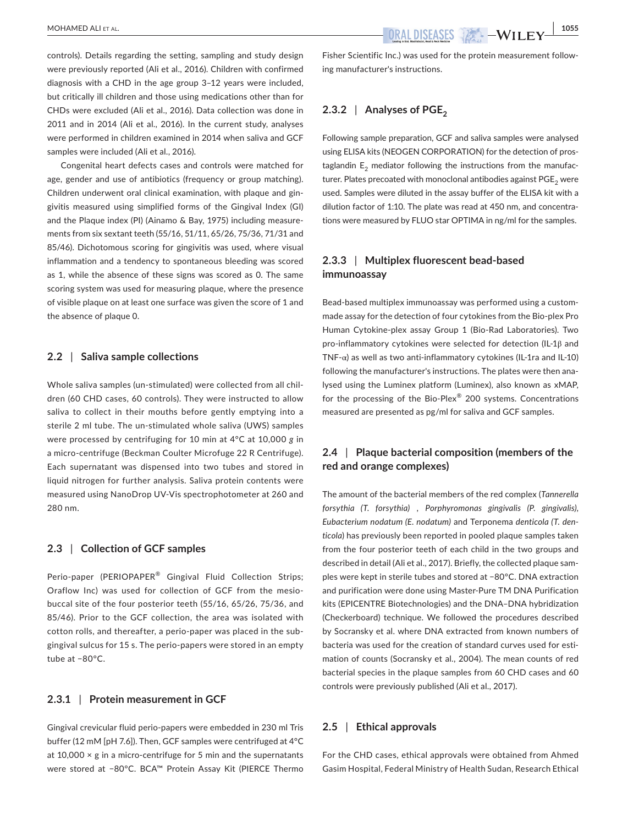controls). Details regarding the setting, sampling and study design were previously reported (Ali et al., 2016). Children with confirmed diagnosis with a CHD in the age group 3–12 years were included, but critically ill children and those using medications other than for CHDs were excluded (Ali et al., 2016). Data collection was done in 2011 and in 2014 (Ali et al., 2016). In the current study, analyses were performed in children examined in 2014 when saliva and GCF samples were included (Ali et al., 2016).

Congenital heart defects cases and controls were matched for age, gender and use of antibiotics (frequency or group matching). Children underwent oral clinical examination, with plaque and gingivitis measured using simplified forms of the Gingival Index (GI) and the Plaque index (PI) (Ainamo & Bay, 1975) including measurements from six sextant teeth (55/16, 51/11, 65/26, 75/36, 71/31 and 85/46). Dichotomous scoring for gingivitis was used, where visual inflammation and a tendency to spontaneous bleeding was scored as 1, while the absence of these signs was scored as 0. The same scoring system was used for measuring plaque, where the presence of visible plaque on at least one surface was given the score of 1 and the absence of plaque 0.

#### **2.2** | **Saliva sample collections**

Whole saliva samples (un-stimulated) were collected from all children (60 CHD cases, 60 controls). They were instructed to allow saliva to collect in their mouths before gently emptying into a sterile 2 ml tube. The un-stimulated whole saliva (UWS) samples were processed by centrifuging for 10 min at 4°C at 10,000 *g* in a micro-centrifuge (Beckman Coulter Microfuge 22 R Centrifuge). Each supernatant was dispensed into two tubes and stored in liquid nitrogen for further analysis. Saliva protein contents were measured using NanoDrop UV-Vis spectrophotometer at 260 and 280 nm.

#### **2.3** | **Collection of GCF samples**

Perio-paper (PERIOPAPER® Gingival Fluid Collection Strips; Oraflow Inc) was used for collection of GCF from the mesiobuccal site of the four posterior teeth (55/16, 65/26, 75/36, and 85/46). Prior to the GCF collection, the area was isolated with cotton rolls, and thereafter, a perio-paper was placed in the subgingival sulcus for 15 s. The perio-papers were stored in an empty tube at −80°C.

### **2.3.1** | **Protein measurement in GCF**

Gingival crevicular fluid perio-papers were embedded in 230 ml Tris buffer (12 mM [pH 7.6]). Then, GCF samples were centrifuged at 4°C at 10,000  $\times$  g in a micro-centrifuge for 5 min and the supernatants were stored at −80°C. BCA™ Protein Assay Kit (PIERCE Thermo

Fisher Scientific Inc.) was used for the protein measurement following manufacturer's instructions.

## **2.3.2** | Analyses of PGE<sub>2</sub>

Following sample preparation, GCF and saliva samples were analysed using ELISA kits (NEOGEN CORPORATION) for the detection of prostaglandin  $E<sub>2</sub>$  mediator following the instructions from the manufacturer. Plates precoated with monoclonal antibodies against  $PGE<sub>2</sub>$  were used. Samples were diluted in the assay buffer of the ELISA kit with a dilution factor of 1:10. The plate was read at 450 nm, and concentrations were measured by FLUO star OPTIMA in ng/ml for the samples.

## **2.3.3** | **Multiplex fluorescent bead-based immunoassay**

Bead-based multiplex immunoassay was performed using a custommade assay for the detection of four cytokines from the Bio-plex Pro Human Cytokine-plex assay Group 1 (Bio-Rad Laboratories). Two pro-inflammatory cytokines were selected for detection (IL-1β and TNF- $\alpha$ ) as well as two anti-inflammatory cytokines (IL-1ra and IL-10) following the manufacturer's instructions. The plates were then analysed using the Luminex platform (Luminex), also known as xMAP, for the processing of the Bio-Plex® 200 systems. Concentrations measured are presented as pg/ml for saliva and GCF samples.

## **2.4** | **Plaque bacterial composition (members of the red and orange complexes)**

The amount of the bacterial members of the red complex (*Tannerella forsythia (T. forsythia)* , *Porphyromonas gingivalis (P. gingivalis)*, *Eubacterium nodatum (E. nodatum)* and Terponema *denticola (T. denticola*) has previously been reported in pooled plaque samples taken from the four posterior teeth of each child in the two groups and described in detail (Ali et al., 2017). Briefly, the collected plaque samples were kept in sterile tubes and stored at −80°C. DNA extraction and purification were done using Master-Pure TM DNA Purification kits (EPICENTRE Biotechnologies) and the DNA–DNA hybridization (Checkerboard) technique. We followed the procedures described by Socransky et al. where DNA extracted from known numbers of bacteria was used for the creation of standard curves used for estimation of counts (Socransky et al., 2004). The mean counts of red bacterial species in the plaque samples from 60 CHD cases and 60 controls were previously published (Ali et al., 2017).

#### **2.5** | **Ethical approvals**

For the CHD cases, ethical approvals were obtained from Ahmed Gasim Hospital, Federal Ministry of Health Sudan, Research Ethical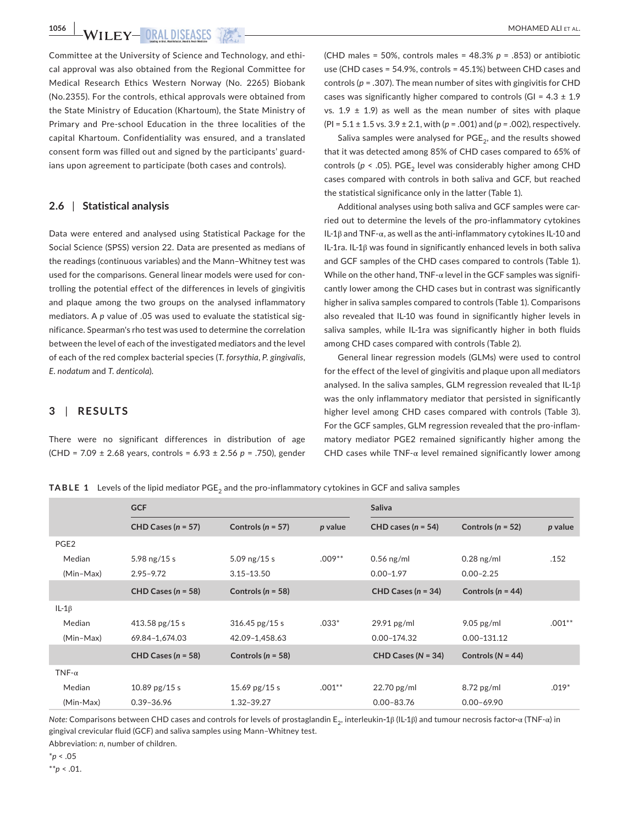Committee at the University of Science and Technology, and ethical approval was also obtained from the Regional Committee for Medical Research Ethics Western Norway (No. 2265) Biobank (No.2355). For the controls, ethical approvals were obtained from the State Ministry of Education (Khartoum), the State Ministry of Primary and Pre-school Education in the three localities of the capital Khartoum. Confidentiality was ensured, and a translated consent form was filled out and signed by the participants' guardians upon agreement to participate (both cases and controls).

#### **2.6** | **Statistical analysis**

Data were entered and analysed using Statistical Package for the Social Science (SPSS) version 22. Data are presented as medians of the readings (continuous variables) and the Mann–Whitney test was used for the comparisons. General linear models were used for controlling the potential effect of the differences in levels of gingivitis and plaque among the two groups on the analysed inflammatory mediators. A *p* value of .05 was used to evaluate the statistical significance. Spearman's rho test was used to determine the correlation between the level of each of the investigated mediators and the level of each of the red complex bacterial species (*T. forsythia*, *P. gingivalis*, *E. nodatum* and *T. denticola*).

### **3** | **RESULTS**

There were no significant differences in distribution of age (CHD = 7.09 ± 2.68 years, controls = 6.93 ± 2.56 *p* = .750), gender

(CHD males = 50%, controls males = 48.3% *p* = .853) or antibiotic use (CHD cases = 54.9%, controls = 45.1%) between CHD cases and controls (*p* = .307). The mean number of sites with gingivitis for CHD cases was significantly higher compared to controls  $|G| = 4.3 \pm 1.9$ vs*.* 1.9 ± 1.9) as well as the mean number of sites with plaque (PI = 5.1 ± 1.5 vs*.* 3.9 ± 2.1, with (*p* = .001) and (*p =* .002), respectively.

Saliva samples were analysed for  $PGE<sub>2</sub>$ , and the results showed that it was detected among 85% of CHD cases compared to 65% of controls ( $p < .05$ ). PGE<sub>2</sub> level was considerably higher among CHD cases compared with controls in both saliva and GCF, but reached the statistical significance only in the latter (Table 1).

Additional analyses using both saliva and GCF samples were carried out to determine the levels of the pro-inflammatory cytokines IL-1β and TNF-α, as well as the anti-inflammatory cytokines IL-10 and IL-1ra. IL-1β was found in significantly enhanced levels in both saliva and GCF samples of the CHD cases compared to controls (Table 1). While on the other hand, TNF- $\alpha$  level in the GCF samples was significantly lower among the CHD cases but in contrast was significantly higher in saliva samples compared to controls (Table 1). Comparisons also revealed that IL-10 was found in significantly higher levels in saliva samples, while IL-1ra was significantly higher in both fluids among CHD cases compared with controls (Table 2).

General linear regression models (GLMs) were used to control for the effect of the level of gingivitis and plaque upon all mediators analysed. In the saliva samples, GLM regression revealed that IL-1β was the only inflammatory mediator that persisted in significantly higher level among CHD cases compared with controls (Table 3). For the GCF samples, GLM regression revealed that the pro-inflammatory mediator PGE2 remained significantly higher among the CHD cases while  $TNF-\alpha$  level remained significantly lower among

**TABLE 1** Levels of the lipid mediator PGE<sub>2</sub> and the pro-inflammatory cytokines in GCF and saliva samples

|                  | <b>GCF</b>             |                       |           | Saliva                   |                       |           |
|------------------|------------------------|-----------------------|-----------|--------------------------|-----------------------|-----------|
|                  | CHD Cases $(n = 57)$   | Controls ( $n = 57$ ) | p value   | CHD cases $(n = 54)$     | Controls ( $n = 52$ ) | p value   |
| PGE <sub>2</sub> |                        |                       |           |                          |                       |           |
| Median           | 5.98 $ng/15s$          | 5.09 $ng/15 s$        | $.009**$  | $0.56$ ng/ml             | $0.28$ ng/ml          | .152      |
| (Min-Max)        | $2.95 - 9.72$          | $3.15 - 13.50$        |           | $0.00 - 1.97$            | $0.00 - 2.25$         |           |
|                  | CHD Cases ( $n = 58$ ) | Controls ( $n = 58$ ) |           | CHD Cases $(n = 34)$     | Controls ( $n = 44$ ) |           |
| IL-1 $\beta$     |                        |                       |           |                          |                       |           |
| Median           | 413.58 $pg/15s$        | $316.45$ pg/15 s      | $.033*$   | $29.91$ pg/ml            | $9.05$ pg/ml          | $.001***$ |
| (Min-Max)        | 69.84-1,674.03         | 42.09-1,458.63        |           | $0.00 - 174.32$          | $0.00 - 131.12$       |           |
|                  | CHD Cases $(n = 58)$   | Controls ( $n = 58$ ) |           | $CHD$ Cases ( $N = 34$ ) | Controls ( $N = 44$ ) |           |
| TNF- $\alpha$    |                        |                       |           |                          |                       |           |
| Median           | 10.89 $pg/15s$         | 15.69 pg/15 s         | $.001***$ | $22.70$ pg/ml            | $8.72$ pg/ml          | $.019*$   |
| (Min-Max)        | $0.39 - 36.96$         | 1.32-39.27            |           | $0.00 - 83.76$           | $0.00 - 69.90$        |           |

*Note:* Comparisons between CHD cases and controls for levels of prostaglandin E2, interleukin**-**1β (IL-1β) and tumour necrosis factor**-**α (TNF-α) in gingival crevicular fluid (GCF) and saliva samples using Mann–Whitney test.

Abbreviation: *n*, number of children.

\**p* < .05

\*\**p* < .01.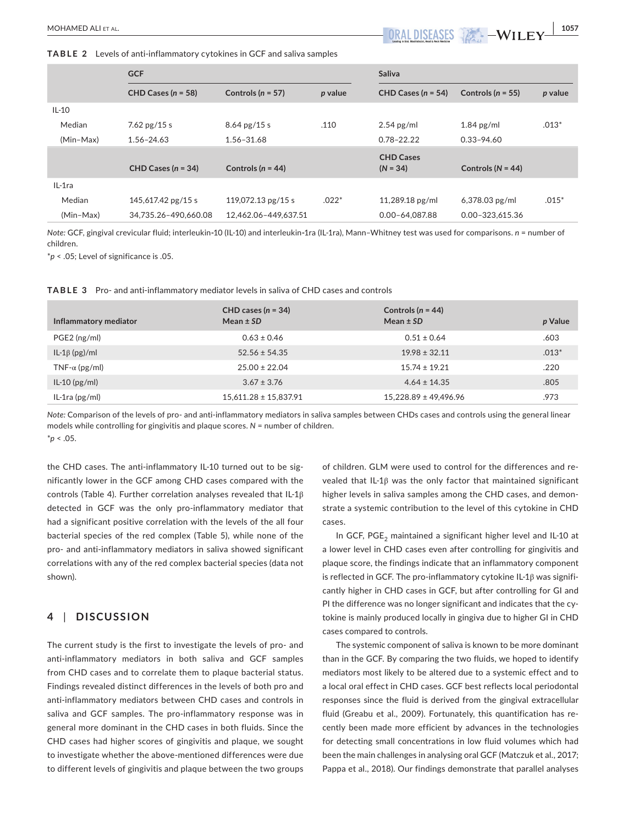**TABLE 2** Levels of anti-inflammatory cytokines in GCF and saliva samples

|           | <b>GCF</b>             |                       |         | Saliva               |                     |         |
|-----------|------------------------|-----------------------|---------|----------------------|---------------------|---------|
|           | CHD Cases ( $n = 58$ ) | Controls ( $n = 57$ ) | p value | CHD Cases $(n = 54)$ | Controls $(n = 55)$ | p value |
| $IL-10$   |                        |                       |         |                      |                     |         |
| Median    | 7.62 $pg/15s$          | $8.64$ pg/15 s        | .110    | $2.54$ pg/ml         | $1.84$ pg/ml        | $.013*$ |
| (Min-Max) | $1.56 - 24.63$         | 1.56-31.68            |         | $0.78 - 22.22$       | $0.33 - 94.60$      |         |
|           |                        |                       |         | <b>CHD Cases</b>     |                     |         |
|           | CHD Cases $(n = 34)$   | Controls $(n = 44)$   |         | $(N = 34)$           | Controls $(N = 44)$ |         |
| IL-1ra    |                        |                       |         |                      |                     |         |
| Median    | 145,617.42 pg/15 s     | 119,072.13 $pg/15s$   | $.022*$ | $11,289.18$ pg/ml    | $6,378.03$ pg/ml    | $.015*$ |
| (Min-Max) | 34.735.26-490.660.08   | 12.462.06-449.637.51  |         | 0.00-64.087.88       | 0.00-323.615.36     |         |

*Note:* GCF, gingival crevicular fluid; interleukin**-**10 (IL-10) and interleukin**-**1ra (IL-1ra), Mann–Whitney test was used for comparisons. *n* = number of children.

\**p* < .05; Level of significance is .05.

**TABLE 3** Pro- and anti-inflammatory mediator levels in saliva of CHD cases and controls

| Inflammatory mediator | CHD cases $(n = 34)$<br>Mean $\pm$ SD | Controls ( $n = 44$ )<br>Mean $\pm$ SD | p Value |
|-----------------------|---------------------------------------|----------------------------------------|---------|
| $PGE2$ (ng/ml)        | $0.63 \pm 0.46$                       | $0.51 \pm 0.64$                        | .603    |
| $IL-1\beta$ (pg)/ml   | $52.56 \pm 54.35$                     | $19.98 \pm 32.11$                      | $.013*$ |
| TNF- $\alpha$ (pg/ml) | $25.00 \pm 22.04$                     | $15.74 \pm 19.21$                      | .220    |
| $IL-10$ (pg/ml)       | $3.67 \pm 3.76$                       | $4.64 \pm 14.35$                       | .805    |
| $IL-1ra (pg/ml)$      | $15.611.28 \pm 15.837.91$             | $15.228.89 \pm 49.496.96$              | .973    |

*Note:* Comparison of the levels of pro- and anti-inflammatory mediators in saliva samples between CHDs cases and controls using the general linear models while controlling for gingivitis and plaque scores. *N* = number of children.

\**p* < .05.

the CHD cases. The anti-inflammatory IL-10 turned out to be significantly lower in the GCF among CHD cases compared with the controls (Table 4). Further correlation analyses revealed that IL-1β detected in GCF was the only pro-inflammatory mediator that had a significant positive correlation with the levels of the all four bacterial species of the red complex (Table 5), while none of the pro- and anti-inflammatory mediators in saliva showed significant correlations with any of the red complex bacterial species (data not shown).

## **4** | **DISCUSSION**

The current study is the first to investigate the levels of pro- and anti-inflammatory mediators in both saliva and GCF samples from CHD cases and to correlate them to plaque bacterial status. Findings revealed distinct differences in the levels of both pro and anti-inflammatory mediators between CHD cases and controls in saliva and GCF samples. The pro-inflammatory response was in general more dominant in the CHD cases in both fluids. Since the CHD cases had higher scores of gingivitis and plaque, we sought to investigate whether the above-mentioned differences were due to different levels of gingivitis and plaque between the two groups

of children. GLM were used to control for the differences and revealed that IL-1β was the only factor that maintained significant higher levels in saliva samples among the CHD cases, and demonstrate a systemic contribution to the level of this cytokine in CHD cases.

In GCF, PGE<sub>2</sub> maintained a significant higher level and IL-10 at a lower level in CHD cases even after controlling for gingivitis and plaque score, the findings indicate that an inflammatory component is reflected in GCF. The pro-inflammatory cytokine IL-1β was significantly higher in CHD cases in GCF, but after controlling for GI and PI the difference was no longer significant and indicates that the cytokine is mainly produced locally in gingiva due to higher GI in CHD cases compared to controls.

The systemic component of saliva is known to be more dominant than in the GCF. By comparing the two fluids, we hoped to identify mediators most likely to be altered due to a systemic effect and to a local oral effect in CHD cases. GCF best reflects local periodontal responses since the fluid is derived from the gingival extracellular fluid (Greabu et al., 2009). Fortunately, this quantification has recently been made more efficient by advances in the technologies for detecting small concentrations in low fluid volumes which had been the main challenges in analysing oral GCF (Matczuk et al., 2017; Pappa et al., 2018). Our findings demonstrate that parallel analyses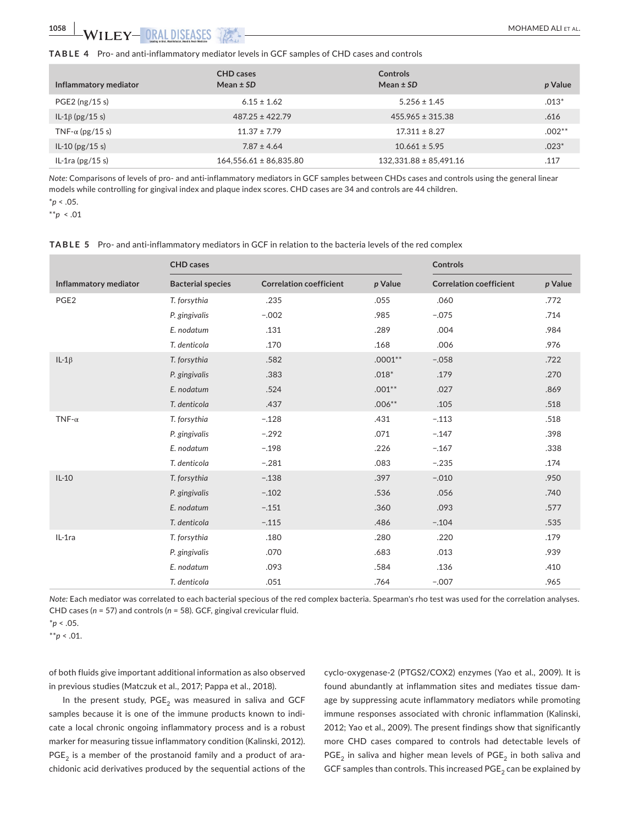| Inflammatory mediator   | <b>CHD</b> cases<br>Mean $\pm$ SD | <b>Controls</b><br>Mean $\pm$ SD | p Value   |
|-------------------------|-----------------------------------|----------------------------------|-----------|
| $PGE2$ (ng/15 s)        | $6.15 \pm 1.62$                   | $5.256 \pm 1.45$                 | $.013*$   |
| IL-1 $\beta$ (pg/15 s)  | $487.25 \pm 422.79$               | $455.965 \pm 315.38$             | .616      |
| TNF- $\alpha$ (pg/15 s) | $11.37 \pm 7.79$                  | $17.311 \pm 8.27$                | $.002***$ |
| $IL-10$ (pg/15 s)       | $7.87 \pm 4.64$                   | $10.661 \pm 5.95$                | $.023*$   |
| IL-1ra $(pg/15s)$       | $164,556.61 \pm 86,835.80$        | $132,331.88 \pm 85,491.16$       | .117      |

*Note:* Comparisons of levels of pro- and anti-inflammatory mediators in GCF samples between CHDs cases and controls using the general linear models while controlling for gingival index and plaque index scores. CHD cases are 34 and controls are 44 children.

\**p* < .05.

\*\**p* < .01

|                       | <b>CHD</b> cases         |                                |           | <b>Controls</b>                |         |
|-----------------------|--------------------------|--------------------------------|-----------|--------------------------------|---------|
| Inflammatory mediator | <b>Bacterial species</b> | <b>Correlation coefficient</b> | p Value   | <b>Correlation coefficient</b> | p Value |
| PGE <sub>2</sub>      | T. forsythia             | .235                           | .055      | .060                           | .772    |
|                       | P. gingivalis            | $-.002$                        | .985      | $-.075$                        | .714    |
|                       | E. nodatum               | .131                           | .289      | .004                           | .984    |
|                       | T. denticola             | .170                           | .168      | .006                           | .976    |
| $IL-1\beta$           | T. forsythia             | .582                           | $.0001**$ | $-.058$                        | .722    |
|                       | P. gingivalis            | .383                           | $.018*$   | .179                           | .270    |
|                       | E. nodatum               | .524                           | $.001***$ | .027                           | .869    |
|                       | T. denticola             | .437                           | $.006**$  | .105                           | .518    |
| TNF- $\alpha$         | T. forsythia             | $-.128$                        | .431      | $-.113$                        | .518    |
|                       | P. gingivalis            | $-.292$                        | .071      | $-.147$                        | .398    |
|                       | E. nodatum               | $-.198$                        | .226      | $-.167$                        | .338    |
|                       | T. denticola             | $-.281$                        | .083      | $-.235$                        | .174    |
| $IL-10$               | T. forsythia             | $-.138$                        | .397      | $-.010$                        | .950    |
|                       | P. gingivalis            | $-.102$                        | .536      | .056                           | .740    |
|                       | E. nodatum               | $-.151$                        | .360      | .093                           | .577    |
|                       | T. denticola             | $-.115$                        | .486      | $-.104$                        | .535    |
| IL-1ra                | T. forsythia             | .180                           | .280      | .220                           | .179    |
|                       | P. gingivalis            | .070                           | .683      | .013                           | .939    |
|                       | E. nodatum               | .093                           | .584      | .136                           | .410    |
|                       | T. denticola             | .051                           | .764      | $-.007$                        | .965    |

**TABLE 5** Pro- and anti-inflammatory mediators in GCF in relation to the bacteria levels of the red complex

*Note:* Each mediator was correlated to each bacterial specious of the red complex bacteria. Spearman's rho test was used for the correlation analyses. CHD cases (*n* = 57) and controls (*n* = 58). GCF, gingival crevicular fluid.

\**p* < .05.

\*\**p* < .01.

of both fluids give important additional information as also observed in previous studies (Matczuk et al., 2017; Pappa et al., 2018).

In the present study,  $PGE<sub>2</sub>$  was measured in saliva and GCF samples because it is one of the immune products known to indicate a local chronic ongoing inflammatory process and is a robust marker for measuring tissue inflammatory condition (Kalinski, 2012).  $PGE<sub>2</sub>$  is a member of the prostanoid family and a product of arachidonic acid derivatives produced by the sequential actions of the

cyclo-oxygenase-2 (PTGS2/COX2) enzymes (Yao et al., 2009). It is found abundantly at inflammation sites and mediates tissue damage by suppressing acute inflammatory mediators while promoting immune responses associated with chronic inflammation (Kalinski, 2012; Yao et al., 2009). The present findings show that significantly more CHD cases compared to controls had detectable levels of  $PGE<sub>2</sub>$  in saliva and higher mean levels of  $PGE<sub>2</sub>$  in both saliva and GCF samples than controls. This increased  $PGE_2$  can be explained by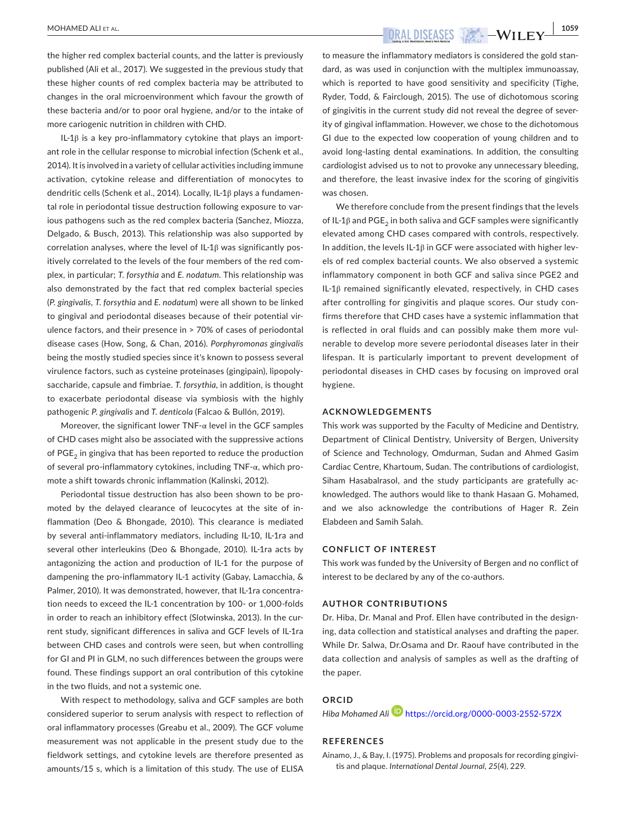**|** MOHAMED ALI et al. **1059**

the higher red complex bacterial counts, and the latter is previously published (Ali et al., 2017). We suggested in the previous study that these higher counts of red complex bacteria may be attributed to changes in the oral microenvironment which favour the growth of these bacteria and/or to poor oral hygiene, and/or to the intake of more cariogenic nutrition in children with CHD.

IL-1β is a key pro-inflammatory cytokine that plays an important role in the cellular response to microbial infection (Schenk et al., 2014). It is involved in a variety of cellular activities including immune activation, cytokine release and differentiation of monocytes to dendritic cells (Schenk et al., 2014). Locally, IL-1β plays a fundamental role in periodontal tissue destruction following exposure to various pathogens such as the red complex bacteria (Sanchez, Miozza, Delgado, & Busch, 2013). This relationship was also supported by correlation analyses, where the level of IL-1β was significantly positively correlated to the levels of the four members of the red complex, in particular; *T. forsythia* and *E. nodatum*. This relationship was also demonstrated by the fact that red complex bacterial species (*P. gingivalis*, *T. forsythia* and *E. nodatum*) were all shown to be linked to gingival and periodontal diseases because of their potential virulence factors, and their presence in > 70% of cases of periodontal disease cases (How, Song, & Chan, 2016). *Porphyromonas gingivalis* being the mostly studied species since it's known to possess several virulence factors, such as cysteine proteinases (gingipain), lipopolysaccharide, capsule and fimbriae. *T. forsythia*, in addition, is thought to exacerbate periodontal disease via symbiosis with the highly pathogenic *P. gingivalis* and *T. denticola* (Falcao & Bullón, 2019).

Moreover, the significant lower  $TNF-\alpha$  level in the GCF samples of CHD cases might also be associated with the suppressive actions of PGE<sub>2</sub> in gingiva that has been reported to reduce the production of several pro-inflammatory cytokines, including TNF-α, which promote a shift towards chronic inflammation (Kalinski, 2012).

Periodontal tissue destruction has also been shown to be promoted by the delayed clearance of leucocytes at the site of inflammation (Deo & Bhongade, 2010). This clearance is mediated by several anti-inflammatory mediators, including IL-10, IL-1ra and several other interleukins (Deo & Bhongade, 2010). IL-1ra acts by antagonizing the action and production of IL-1 for the purpose of dampening the pro-inflammatory IL-1 activity (Gabay, Lamacchia, & Palmer, 2010). It was demonstrated, however, that IL-1ra concentration needs to exceed the IL-1 concentration by 100- or 1,000-folds in order to reach an inhibitory effect (Slotwinska, 2013). In the current study, significant differences in saliva and GCF levels of IL-1ra between CHD cases and controls were seen, but when controlling for GI and PI in GLM, no such differences between the groups were found. These findings support an oral contribution of this cytokine in the two fluids, and not a systemic one.

With respect to methodology, saliva and GCF samples are both considered superior to serum analysis with respect to reflection of oral inflammatory processes (Greabu et al., 2009). The GCF volume measurement was not applicable in the present study due to the fieldwork settings, and cytokine levels are therefore presented as amounts/15 s, which is a limitation of this study. The use of ELISA

to measure the inflammatory mediators is considered the gold standard, as was used in conjunction with the multiplex immunoassay, which is reported to have good sensitivity and specificity (Tighe, Ryder, Todd, & Fairclough, 2015). The use of dichotomous scoring of gingivitis in the current study did not reveal the degree of severity of gingival inflammation. However, we chose to the dichotomous GI due to the expected low cooperation of young children and to avoid long-lasting dental examinations. In addition, the consulting cardiologist advised us to not to provoke any unnecessary bleeding, and therefore, the least invasive index for the scoring of gingivitis was chosen.

We therefore conclude from the present findings that the levels of IL-1 $\beta$  and PGE<sub>2</sub> in both saliva and GCF samples were significantly elevated among CHD cases compared with controls, respectively. In addition, the levels IL-1 $\beta$  in GCF were associated with higher levels of red complex bacterial counts. We also observed a systemic inflammatory component in both GCF and saliva since PGE2 and IL-1β remained significantly elevated, respectively, in CHD cases after controlling for gingivitis and plaque scores. Our study confirms therefore that CHD cases have a systemic inflammation that is reflected in oral fluids and can possibly make them more vulnerable to develop more severe periodontal diseases later in their lifespan. It is particularly important to prevent development of periodontal diseases in CHD cases by focusing on improved oral hygiene.

#### **ACKNOWLEDGEMENTS**

This work was supported by the Faculty of Medicine and Dentistry, Department of Clinical Dentistry, University of Bergen, University of Science and Technology, Omdurman, Sudan and Ahmed Gasim Cardiac Centre, Khartoum, Sudan. The contributions of cardiologist, Siham Hasabalrasol, and the study participants are gratefully acknowledged. The authors would like to thank Hasaan G. Mohamed, and we also acknowledge the contributions of Hager R. Zein Elabdeen and Samih Salah.

#### **CONFLICT OF INTEREST**

This work was funded by the University of Bergen and no conflict of interest to be declared by any of the co-authors.

#### **AUTHOR CONTRIBUTIONS**

Dr. Hiba, Dr. Manal and Prof. Ellen have contributed in the designing, data collection and statistical analyses and drafting the paper. While Dr. Salwa, Dr.Osama and Dr. Raouf have contributed in the data collection and analysis of samples as well as the drafting of the paper.

#### **ORCID**

*Hiba Mohamed Al[i](https://orcid.org/0000-0003-2552-572X)* <https://orcid.org/0000-0003-2552-572X>

#### **REFERENCES**

Ainamo, J., & Bay, I. (1975). Problems and proposals for recording gingivitis and plaque. *International Dental Journal*, *25*(4), 229.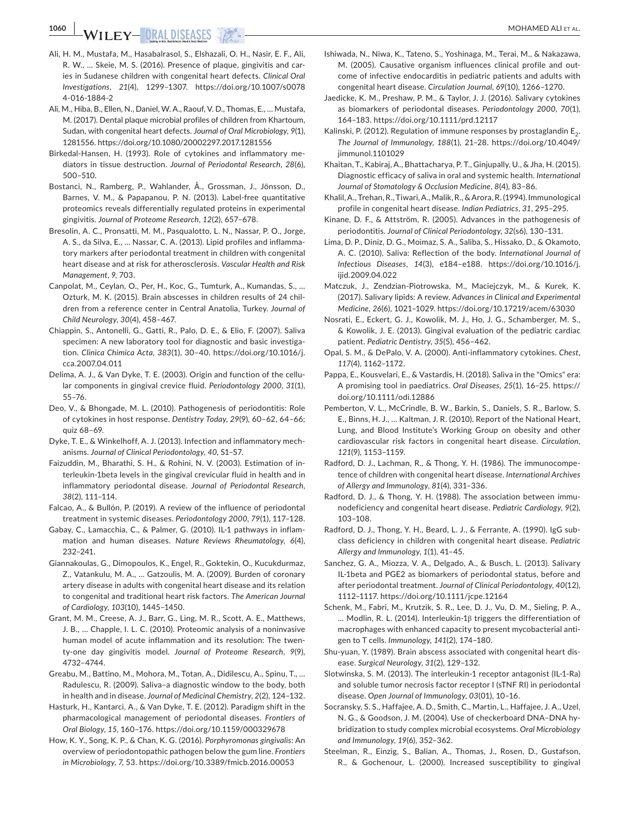- Ali, H. M., Mustafa, M., Hasabalrasol, S., Elshazali, O. H., Nasir, E. F., Ali, R. W., … Skeie, M. S. (2016). Presence of plaque, gingivitis and caries in Sudanese children with congenital heart defects. *Clinical Oral Investigations*, *21*(4), 1299–1307. [https://doi.org/10.1007/s0078](https://doi.org/10.1007/s00784-016-1884-2) [4-016-1884-2](https://doi.org/10.1007/s00784-016-1884-2)
- Ali, M., Hiba, B., Ellen, N., Daniel, W. A., Raouf, V. D., Thomas, E., … Mustafa, M. (2017). Dental plaque microbial profiles of children from Khartoum, Sudan, with congenital heart defects. *Journal of Oral Microbiology*, *9*(1), 1281556. <https://doi.org/10.1080/20002297.2017.1281556>
- Birkedal-Hansen, H. (1993). Role of cytokines and inflammatory mediators in tissue destruction. *Journal of Periodontal Research*, *28*(6), 500–510.
- Bostanci, N., Ramberg, P., Wahlander, Å., Grossman, J., Jönsson, D., Barnes, V. M., & Papapanou, P. N. (2013). Label-free quantitative proteomics reveals differentially regulated proteins in experimental gingivitis. *Journal of Proteome Research*, *12*(2), 657–678.
- Bresolin, A. C., Pronsatti, M. M., Pasqualotto, L. N., Nassar, P. O., Jorge, A. S., da Silva, E., … Nassar, C. A. (2013). Lipid profiles and inflammatory markers after periodontal treatment in children with congenital heart disease and at risk for atherosclerosis. *Vascular Health and Risk Management*, *9*, 703.
- Canpolat, M., Ceylan, O., Per, H., Koc, G., Tumturk, A., Kumandas, S., … Ozturk, M. K. (2015). Brain abscesses in children results of 24 children from a reference center in Central Anatolia, Turkey. *Journal of Child Neurology*, *30*(4), 458–467.
- Chiappin, S., Antonelli, G., Gatti, R., Palo, D. E., & Elio, F. (2007). Saliva specimen: A new laboratory tool for diagnostic and basic investigation. *Clinica Chimica Acta*, *383*(1), 30–40. [https://doi.org/10.1016/j.](https://doi.org/10.1016/j.cca.2007.04.011) [cca.2007.04.011](https://doi.org/10.1016/j.cca.2007.04.011)
- Delima, A. J., & Van Dyke, T. E. (2003). Origin and function of the cellular components in gingival crevice fluid. *Periodontology 2000*, *31*(1), 55–76.
- Deo, V., & Bhongade, M. L. (2010). Pathogenesis of periodontitis: Role of cytokines in host response. *Dentistry Today*, *29*(9), 60–62, 64–66; quiz 68–69.
- Dyke, T. E., & Winkelhoff, A. J. (2013). Infection and inflammatory mechanisms. *Journal of Clinical Periodontology*, *40*, S1–S7.
- Faizuddin, M., Bharathi, S. H., & Rohini, N. V. (2003). Estimation of interleukin-1beta levels in the gingival crevicular fluid in health and in inflammatory periodontal disease. *Journal of Periodontal Research*, *38*(2), 111–114.
- Falcao, A., & Bullón, P. (2019). A review of the influence of periodontal treatment in systemic diseases. *Periodontology 2000*, *79*(1), 117–128.
- Gabay, C., Lamacchia, C., & Palmer, G. (2010). IL-1 pathways in inflammation and human diseases. *Nature Reviews Rheumatology*, *6*(4), 232–241.
- Giannakoulas, G., Dimopoulos, K., Engel, R., Goktekin, O., Kucukdurmaz, Z., Vatankulu, M. A., … Gatzoulis, M. A. (2009). Burden of coronary artery disease in adults with congenital heart disease and its relation to congenital and traditional heart risk factors. *The American Journal of Cardiology*, *103*(10), 1445–1450.
- Grant, M. M., Creese, A. J., Barr, G., Ling, M. R., Scott, A. E., Matthews, J. B., … Chapple, I. L. C. (2010). Proteomic analysis of a noninvasive human model of acute inflammation and its resolution: The twenty-one day gingivitis model. *Journal of Proteome Research*, *9*(9), 4732–4744.
- Greabu, M., Battino, M., Mohora, M., Totan, A., Didilescu, A., Spinu, T., … Radulescu, R. (2009). Saliva–a diagnostic window to the body, both in health and in disease. *Journal of Medicinal Chemistry*, *2*(2), 124–132.
- Hasturk, H., Kantarci, A., & Van Dyke, T. E. (2012). Paradigm shift in the pharmacological management of periodontal diseases. *Frontiers of Oral Biology*, *15*, 160–176. <https://doi.org/10.1159/000329678>
- How, K. Y., Song, K. P., & Chan, K. G. (2016). *Porphyromonas gingivalis*: An overview of periodontopathic pathogen below the gum line. *Frontiers in Microbiology*, *7*, 53.<https://doi.org/10.3389/fmicb.2016.00053>
- Ishiwada, N., Niwa, K., Tateno, S., Yoshinaga, M., Terai, M., & Nakazawa, M. (2005). Causative organism influences clinical profile and outcome of infective endocarditis in pediatric patients and adults with congenital heart disease. *Circulation Journal*, *69*(10), 1266–1270.
- Jaedicke, K. M., Preshaw, P. M., & Taylor, J. J. (2016). Salivary cytokines as biomarkers of periodontal diseases. *Periodontology 2000*, *70*(1), 164–183. <https://doi.org/10.1111/prd.12117>
- Kalinski, P. (2012). Regulation of immune responses by prostaglandin  $E_2$ . *The Journal of Immunology*, *188*(1), 21–28. [https://doi.org/10.4049/](https://doi.org/10.4049/jimmunol.1101029) [jimmunol.1101029](https://doi.org/10.4049/jimmunol.1101029)
- Khaitan, T., Kabiraj, A., Bhattacharya, P. T., Ginjupally, U., & Jha, H. (2015). Diagnostic efficacy of saliva in oral and systemic health. *International Journal of Stomatology & Occlusion Medicine*, *8*(4), 83–86.
- Khalil, A., Trehan, R., Tiwari, A., Malik, R., & Arora, R. (1994). Immunological profile in congenital heart disease. *Indian Pediatrics*, *31*, 295–295.
- Kinane, D. F., & Attström, R. (2005). Advances in the pathogenesis of periodontitis. *Journal of Clinical Periodontology*, *32*(s6), 130–131.
- Lima, D. P., Diniz, D. G., Moimaz, S. A., Saliba, S., Hissako, D., & Okamoto, A. C. (2010). Saliva: Reflection of the body. *International Journal of Infectious Diseases*, *14*(3), e184–e188. [https://doi.org/10.1016/j.](https://doi.org/10.1016/j.ijid.2009.04.022) [ijid.2009.04.022](https://doi.org/10.1016/j.ijid.2009.04.022)
- Matczuk, J., Zendzian-Piotrowska, M., Maciejczyk, M., & Kurek, K. (2017). Salivary lipids: A review. *Advances in Clinical and Experimental Medicine*, *26*(6), 1021–1029. <https://doi.org/10.17219/acem/63030>
- Nosrati, E., Eckert, G. J., Kowolik, M. J., Ho, J. G., Schamberger, M. S., & Kowolik, J. E. (2013). Gingival evaluation of the pediatric cardiac patient. *Pediatric Dentistry*, *35*(5), 456–462.
- Opal, S. M., & DePalo, V. A. (2000). Anti-inflammatory cytokines. *Chest*, *117*(4), 1162–1172.
- Pappa, E., Kousvelari, E., & Vastardis, H. (2018). Saliva in the "Omics" era: A promising tool in paediatrics. *Oral Diseases*, *25*(1), 16–25. [https://](https://doi.org/10.1111/odi.12886) [doi.org/10.1111/odi.12886](https://doi.org/10.1111/odi.12886)
- Pemberton, V. L., McCrindle, B. W., Barkin, S., Daniels, S. R., Barlow, S. E., Binns, H. J., … Kaltman, J. R. (2010). Report of the National Heart, Lung, and Blood Institute's Working Group on obesity and other cardiovascular risk factors in congenital heart disease. *Circulation*, *121*(9), 1153–1159.
- Radford, D. J., Lachman, R., & Thong, Y. H. (1986). The immunocompetence of children with congenital heart disease. *International Archives of Allergy and Immunology*, *81*(4), 331–336.
- Radford, D. J., & Thong, Y. H. (1988). The association between immunodeficiency and congenital heart disease. *Pediatric Cardiology*, *9*(2), 103–108.
- Radford, D. J., Thong, Y. H., Beard, L. J., & Ferrante, A. (1990). IgG subclass deficiency in children with congenital heart disease. *Pediatric Allergy and Immunology*, *1*(1), 41–45.
- Sanchez, G. A., Miozza, V. A., Delgado, A., & Busch, L. (2013). Salivary IL-1beta and PGE2 as biomarkers of periodontal status, before and after periodontal treatment. *Journal of Clinical Periodontology*, *40*(12), 1112–1117. <https://doi.org/10.1111/jcpe.12164>
- Schenk, M., Fabri, M., Krutzik, S. R., Lee, D. J., Vu, D. M., Sieling, P. A., … Modlin, R. L. (2014). Interleukin-1β triggers the differentiation of macrophages with enhanced capacity to present mycobacterial antigen to T cells. *Immunology*, *141*(2), 174–180.
- Shu-yuan, Y. (1989). Brain abscess associated with congenital heart disease. *Surgical Neurology*, *31*(2), 129–132.
- Slotwinska, S. M. (2013). The interleukin-1 receptor antagonist (IL-1-Ra) and soluble tumor necrosis factor receptor I (sTNF RI) in periodontal disease. *Open Journal of Immunology*, *03*(01), 10–16.
- Socransky, S. S., Haffajee, A. D., Smith, C., Martin, L., Haffajee, J. A., Uzel, N. G., & Goodson, J. M. (2004). Use of checkerboard DNA–DNA hybridization to study complex microbial ecosystems. *Oral Microbiology and Immunology*, *19*(6), 352–362.
- Steelman, R., Einzig, S., Balian, A., Thomas, J., Rosen, D., Gustafson, R., & Gochenour, L. (2000). Increased susceptibility to gingival